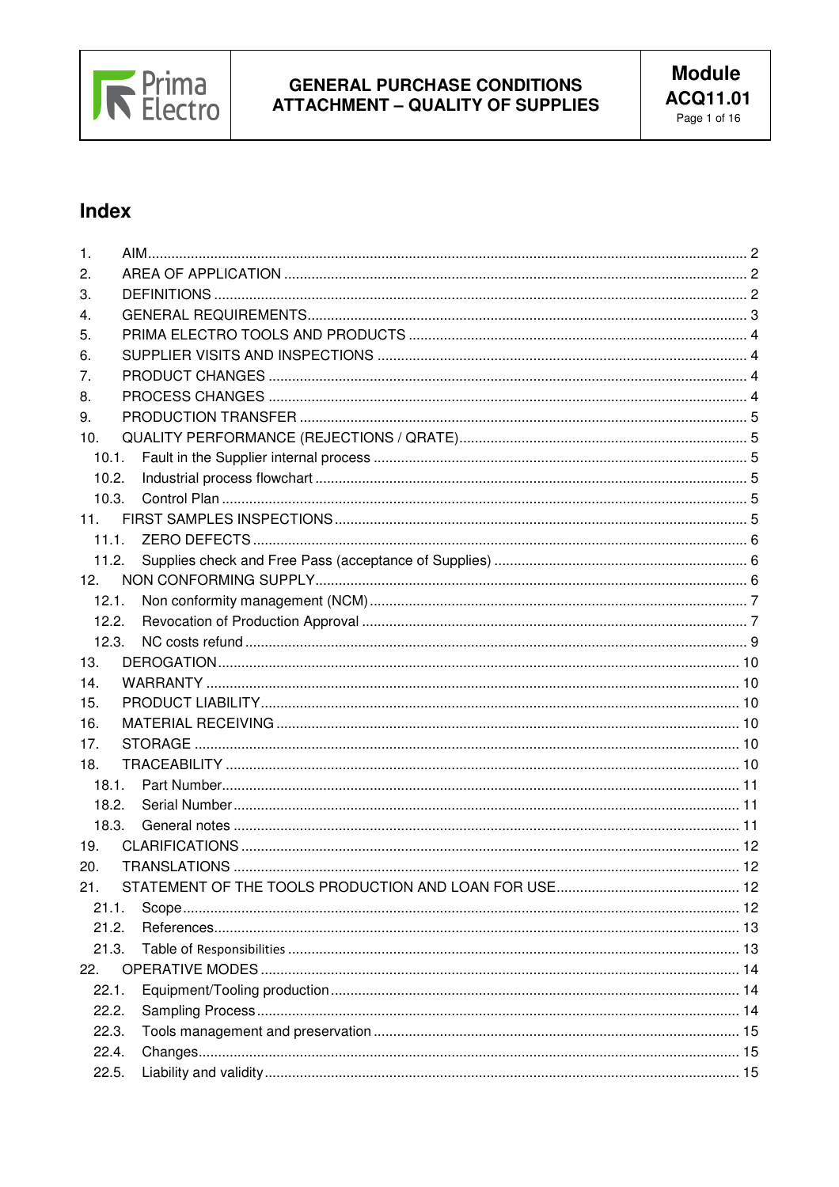

# Index

| 1.              |  |
|-----------------|--|
| 2.              |  |
| 3.              |  |
| 4.              |  |
| 5.              |  |
| 6.              |  |
| 7.              |  |
| 8.              |  |
| 9.              |  |
| 10.             |  |
| 10.1.           |  |
| 10.2.           |  |
| 10.3.           |  |
| 11.             |  |
| 11.1.           |  |
| 11.2.           |  |
| 12 <sup>2</sup> |  |
| 12.1.           |  |
| 12.2.           |  |
| 12.3.           |  |
| 13.             |  |
| 14.             |  |
| 15.             |  |
| 16.             |  |
| 17.             |  |
| 18.             |  |
| 18.1.           |  |
| 18.2.           |  |
| 18.3.           |  |
| 19.             |  |
| 20.             |  |
| 21.             |  |
| 21.1.           |  |
| 21.2.           |  |
| 21.3.           |  |
| 22.             |  |
| 22.1.           |  |
| 22.2.           |  |
| 22.3.           |  |
| 22.4.           |  |
| 22.5.           |  |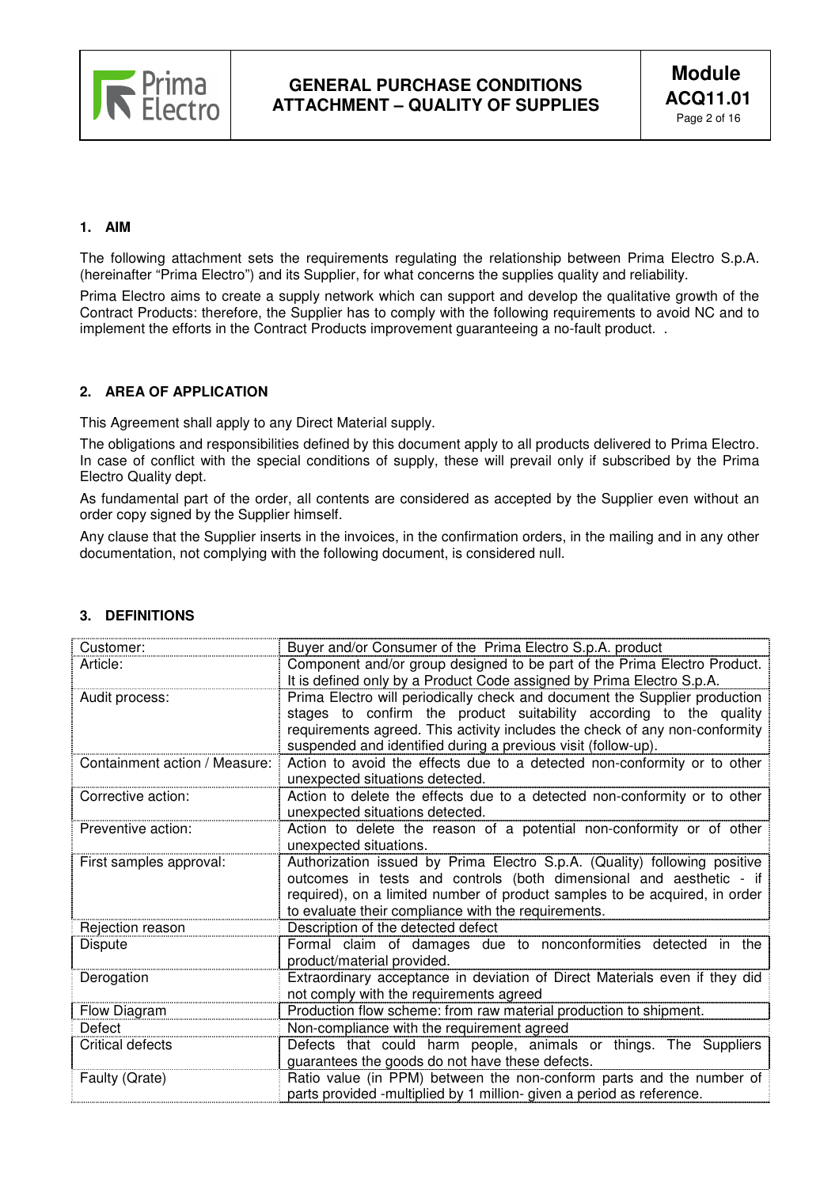

### **1. AIM**

The following attachment sets the requirements regulating the relationship between Prima Electro S.p.A. (hereinafter "Prima Electro") and its Supplier, for what concerns the supplies quality and reliability.

Prima Electro aims to create a supply network which can support and develop the qualitative growth of the Contract Products: therefore, the Supplier has to comply with the following requirements to avoid NC and to implement the efforts in the Contract Products improvement guaranteeing a no-fault product. .

### **2. AREA OF APPLICATION**

This Agreement shall apply to any Direct Material supply.

The obligations and responsibilities defined by this document apply to all products delivered to Prima Electro. In case of conflict with the special conditions of supply, these will prevail only if subscribed by the Prima Electro Quality dept.

As fundamental part of the order, all contents are considered as accepted by the Supplier even without an order copy signed by the Supplier himself.

Any clause that the Supplier inserts in the invoices, in the confirmation orders, in the mailing and in any other documentation, not complying with the following document, is considered null.

| Customer:                                            | Buyer and/or Consumer of the Prima Electro S.p.A. product                                                   |  |  |  |  |
|------------------------------------------------------|-------------------------------------------------------------------------------------------------------------|--|--|--|--|
| Article:                                             | Component and/or group designed to be part of the Prima Electro Product.                                    |  |  |  |  |
|                                                      | It is defined only by a Product Code assigned by Prima Electro S.p.A.                                       |  |  |  |  |
| Audit process:                                       | Prima Electro will periodically check and document the Supplier production                                  |  |  |  |  |
|                                                      | stages to confirm the product suitability according to the quality                                          |  |  |  |  |
|                                                      | requirements agreed. This activity includes the check of any non-conformity                                 |  |  |  |  |
|                                                      | suspended and identified during a previous visit (follow-up).                                               |  |  |  |  |
| Containment action / Measure:                        | Action to avoid the effects due to a detected non-conformity or to other<br>unexpected situations detected. |  |  |  |  |
| Corrective action:                                   | Action to delete the effects due to a detected non-conformity or to other                                   |  |  |  |  |
|                                                      | unexpected situations detected.                                                                             |  |  |  |  |
| Preventive action:                                   | Action to delete the reason of a potential non-conformity or of other                                       |  |  |  |  |
|                                                      | unexpected situations.                                                                                      |  |  |  |  |
| First samples approval:                              | Authorization issued by Prima Electro S.p.A. (Quality) following positive                                   |  |  |  |  |
|                                                      | outcomes in tests and controls (both dimensional and aesthetic - if                                         |  |  |  |  |
|                                                      | required), on a limited number of product samples to be acquired, in order                                  |  |  |  |  |
|                                                      | to evaluate their compliance with the requirements.                                                         |  |  |  |  |
| Rejection reason                                     | Description of the detected defect                                                                          |  |  |  |  |
| Dispute                                              | Formal claim of damages due to nonconformities detected in the                                              |  |  |  |  |
|                                                      | product/material provided.                                                                                  |  |  |  |  |
| Derogation                                           | Extraordinary acceptance in deviation of Direct Materials even if they did                                  |  |  |  |  |
|                                                      | not comply with the requirements agreed                                                                     |  |  |  |  |
| Flow Diagram                                         | Production flow scheme: from raw material production to shipment.                                           |  |  |  |  |
| Non-compliance with the requirement agreed<br>Defect |                                                                                                             |  |  |  |  |
| <b>Critical defects</b>                              | Defects that could harm people, animals or things. The Suppliers                                            |  |  |  |  |
|                                                      | guarantees the goods do not have these defects.                                                             |  |  |  |  |
| Faulty (Qrate)                                       | Ratio value (in PPM) between the non-conform parts and the number of                                        |  |  |  |  |
|                                                      | parts provided -multiplied by 1 million- given a period as reference.                                       |  |  |  |  |

# **3. DEFINITIONS**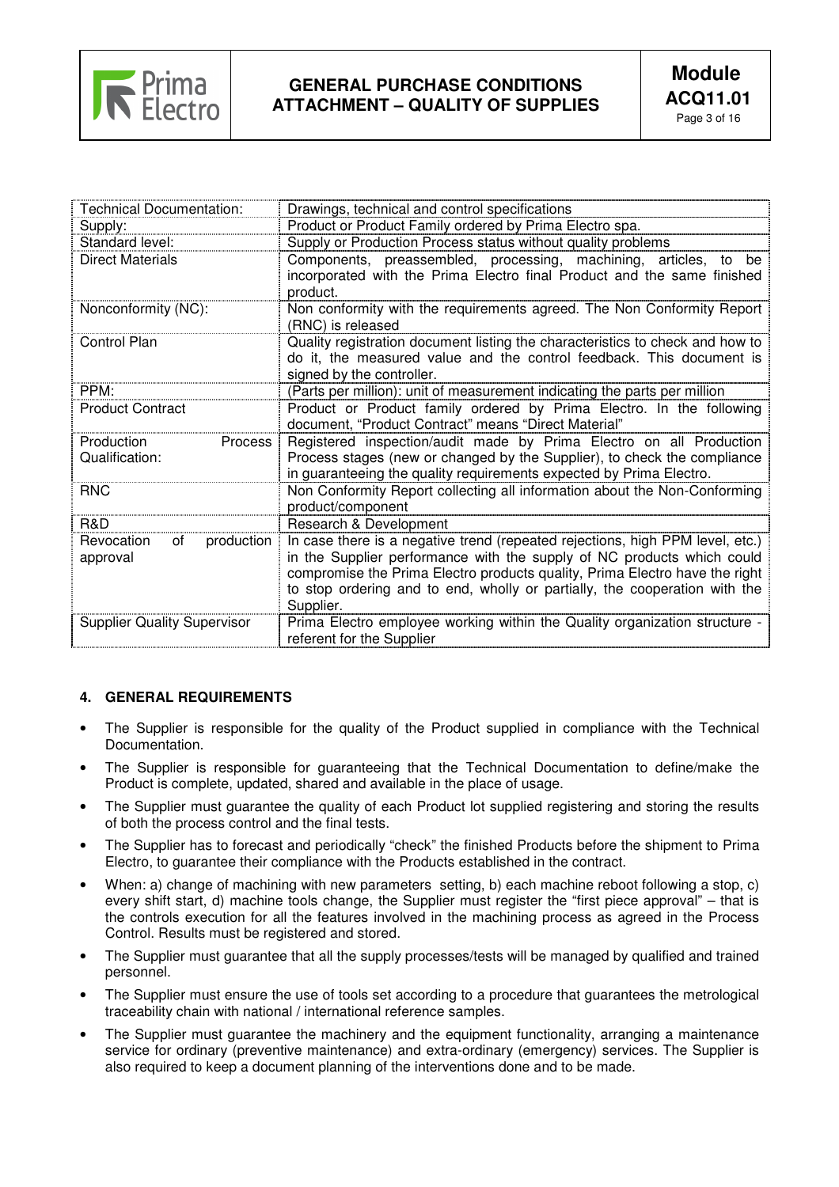

| <b>Technical Documentation:</b>                | Drawings, technical and control specifications                                                                                                                                                                                                                                                                                    |  |  |  |
|------------------------------------------------|-----------------------------------------------------------------------------------------------------------------------------------------------------------------------------------------------------------------------------------------------------------------------------------------------------------------------------------|--|--|--|
| Supply:                                        | Product or Product Family ordered by Prima Electro spa.                                                                                                                                                                                                                                                                           |  |  |  |
| Standard level:                                | Supply or Production Process status without quality problems                                                                                                                                                                                                                                                                      |  |  |  |
| <b>Direct Materials</b>                        | Components, preassembled, processing, machining, articles,<br>to<br>be<br>incorporated with the Prima Electro final Product and the same finished<br>product.                                                                                                                                                                     |  |  |  |
| Nonconformity (NC):                            | Non conformity with the requirements agreed. The Non Conformity Report<br>(RNC) is released                                                                                                                                                                                                                                       |  |  |  |
| Control Plan                                   | Quality registration document listing the characteristics to check and how to<br>do it, the measured value and the control feedback. This document is<br>signed by the controller.                                                                                                                                                |  |  |  |
| PPM:                                           | (Parts per million): unit of measurement indicating the parts per million                                                                                                                                                                                                                                                         |  |  |  |
| <b>Product Contract</b>                        | Product or Product family ordered by Prima Electro. In the following<br>document, "Product Contract" means "Direct Material"                                                                                                                                                                                                      |  |  |  |
| Production<br><b>Process</b><br>Qualification: | Registered inspection/audit made by Prima Electro on all Production                                                                                                                                                                                                                                                               |  |  |  |
|                                                | Process stages (new or changed by the Supplier), to check the compliance<br>in guaranteeing the quality requirements expected by Prima Electro.                                                                                                                                                                                   |  |  |  |
| <b>RNC</b>                                     | Non Conformity Report collecting all information about the Non-Conforming<br>product/component                                                                                                                                                                                                                                    |  |  |  |
| R&D                                            | Research & Development                                                                                                                                                                                                                                                                                                            |  |  |  |
| Revocation<br>production<br>of<br>approval     | In case there is a negative trend (repeated rejections, high PPM level, etc.)<br>in the Supplier performance with the supply of NC products which could<br>compromise the Prima Electro products quality, Prima Electro have the right<br>to stop ordering and to end, wholly or partially, the cooperation with the<br>Supplier. |  |  |  |
| <b>Supplier Quality Supervisor</b>             | Prima Electro employee working within the Quality organization structure -<br>referent for the Supplier                                                                                                                                                                                                                           |  |  |  |

# **4. GENERAL REQUIREMENTS**

- The Supplier is responsible for the quality of the Product supplied in compliance with the Technical Documentation.
- The Supplier is responsible for guaranteeing that the Technical Documentation to define/make the Product is complete, updated, shared and available in the place of usage.
- The Supplier must guarantee the quality of each Product lot supplied registering and storing the results of both the process control and the final tests.
- The Supplier has to forecast and periodically "check" the finished Products before the shipment to Prima Electro, to guarantee their compliance with the Products established in the contract.
- When: a) change of machining with new parameters setting, b) each machine reboot following a stop, c) every shift start, d) machine tools change, the Supplier must register the "first piece approval" – that is the controls execution for all the features involved in the machining process as agreed in the Process Control. Results must be registered and stored.
- The Supplier must guarantee that all the supply processes/tests will be managed by qualified and trained personnel.
- The Supplier must ensure the use of tools set according to a procedure that guarantees the metrological traceability chain with national / international reference samples.
- The Supplier must guarantee the machinery and the equipment functionality, arranging a maintenance service for ordinary (preventive maintenance) and extra-ordinary (emergency) services. The Supplier is also required to keep a document planning of the interventions done and to be made.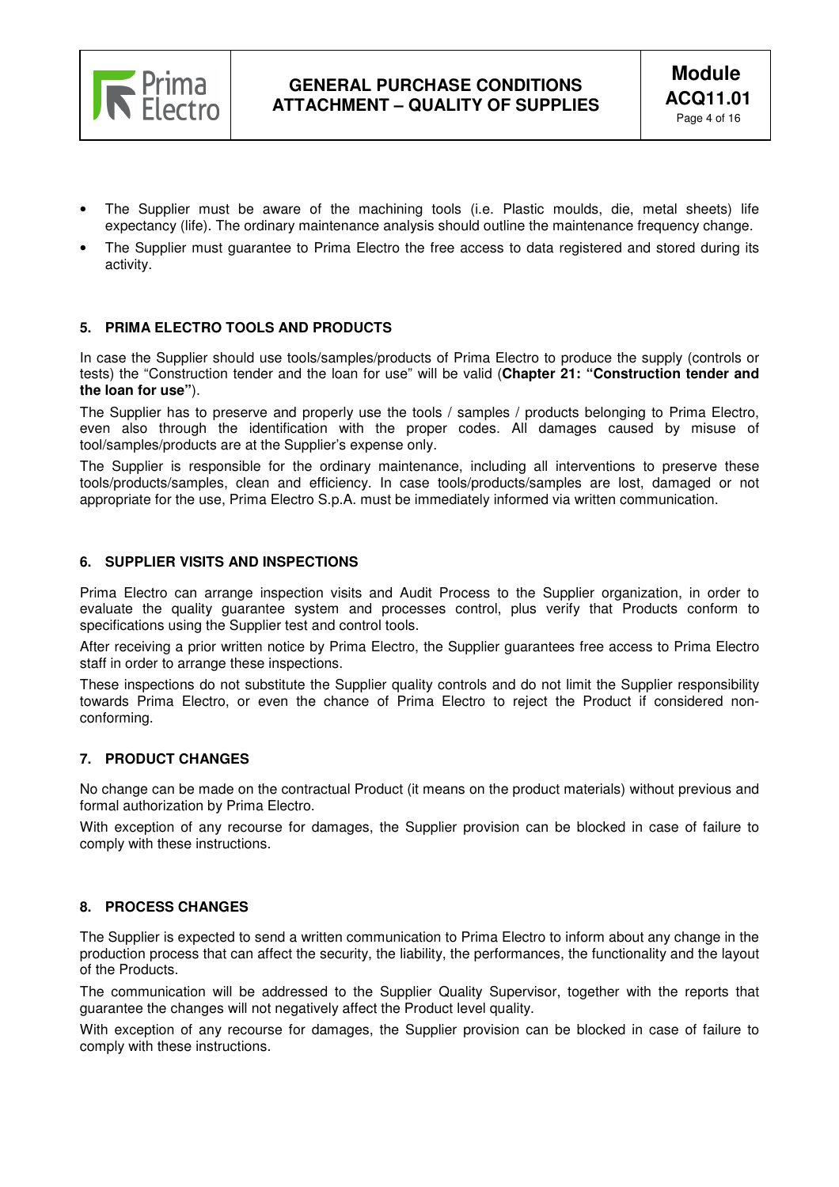

- The Supplier must be aware of the machining tools (i.e. Plastic moulds, die, metal sheets) life expectancy (life). The ordinary maintenance analysis should outline the maintenance frequency change.
- The Supplier must guarantee to Prima Electro the free access to data registered and stored during its activity.

### **5. PRIMA ELECTRO TOOLS AND PRODUCTS**

In case the Supplier should use tools/samples/products of Prima Electro to produce the supply (controls or tests) the "Construction tender and the loan for use" will be valid (**Chapter 21: "Construction tender and the loan for use"**).

The Supplier has to preserve and properly use the tools / samples / products belonging to Prima Electro, even also through the identification with the proper codes. All damages caused by misuse of tool/samples/products are at the Supplier's expense only.

The Supplier is responsible for the ordinary maintenance, including all interventions to preserve these tools/products/samples, clean and efficiency. In case tools/products/samples are lost, damaged or not appropriate for the use, Prima Electro S.p.A. must be immediately informed via written communication.

#### **6. SUPPLIER VISITS AND INSPECTIONS**

Prima Electro can arrange inspection visits and Audit Process to the Supplier organization, in order to evaluate the quality guarantee system and processes control, plus verify that Products conform to specifications using the Supplier test and control tools.

After receiving a prior written notice by Prima Electro, the Supplier guarantees free access to Prima Electro staff in order to arrange these inspections.

These inspections do not substitute the Supplier quality controls and do not limit the Supplier responsibility towards Prima Electro, or even the chance of Prima Electro to reject the Product if considered nonconforming.

# **7. PRODUCT CHANGES**

No change can be made on the contractual Product (it means on the product materials) without previous and formal authorization by Prima Electro.

With exception of any recourse for damages, the Supplier provision can be blocked in case of failure to comply with these instructions.

# **8. PROCESS CHANGES**

The Supplier is expected to send a written communication to Prima Electro to inform about any change in the production process that can affect the security, the liability, the performances, the functionality and the layout of the Products.

The communication will be addressed to the Supplier Quality Supervisor, together with the reports that guarantee the changes will not negatively affect the Product level quality.

With exception of any recourse for damages, the Supplier provision can be blocked in case of failure to comply with these instructions.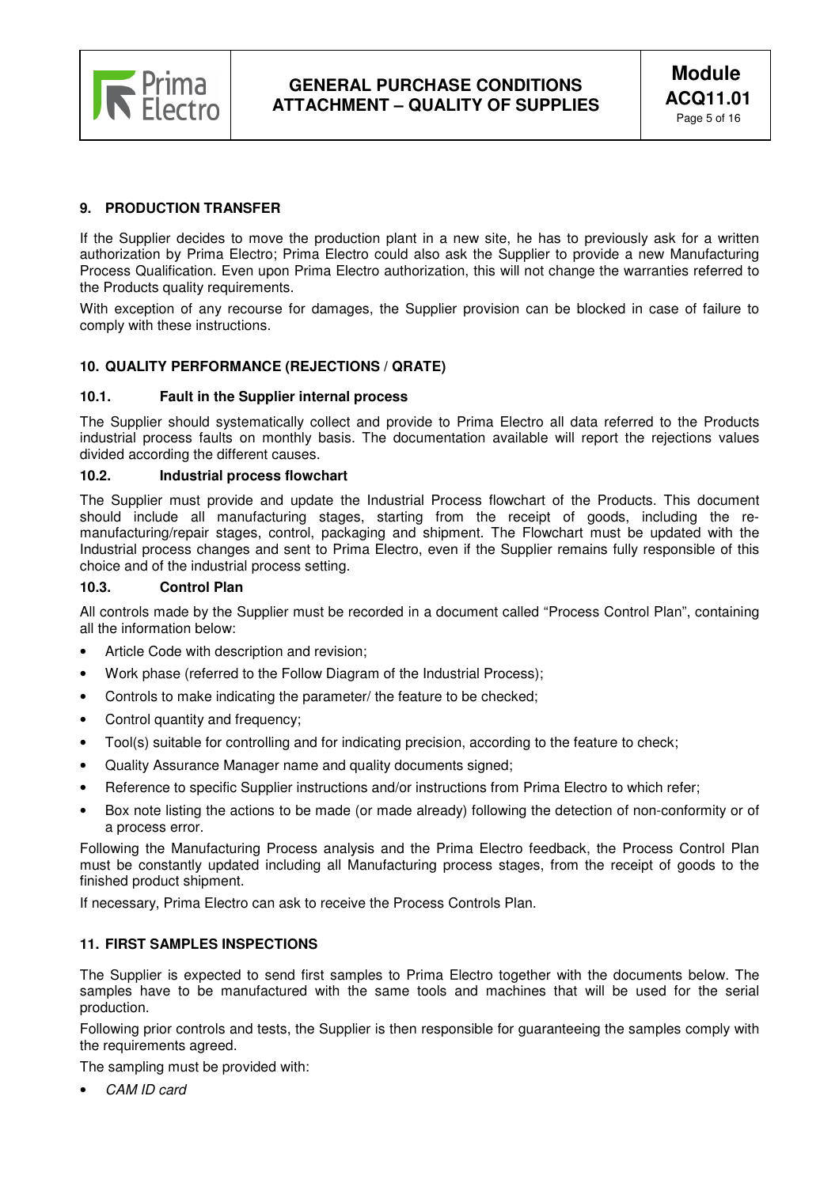

# **9. PRODUCTION TRANSFER**

If the Supplier decides to move the production plant in a new site, he has to previously ask for a written authorization by Prima Electro; Prima Electro could also ask the Supplier to provide a new Manufacturing Process Qualification. Even upon Prima Electro authorization, this will not change the warranties referred to the Products quality requirements.

With exception of any recourse for damages, the Supplier provision can be blocked in case of failure to comply with these instructions.

# **10. QUALITY PERFORMANCE (REJECTIONS / QRATE)**

### **10.1. Fault in the Supplier internal process**

The Supplier should systematically collect and provide to Prima Electro all data referred to the Products industrial process faults on monthly basis. The documentation available will report the rejections values divided according the different causes.

#### **10.2. Industrial process flowchart**

The Supplier must provide and update the Industrial Process flowchart of the Products. This document should include all manufacturing stages, starting from the receipt of goods, including the remanufacturing/repair stages, control, packaging and shipment. The Flowchart must be updated with the Industrial process changes and sent to Prima Electro, even if the Supplier remains fully responsible of this choice and of the industrial process setting.

#### **10.3. Control Plan**

All controls made by the Supplier must be recorded in a document called "Process Control Plan", containing all the information below:

- Article Code with description and revision;
- Work phase (referred to the Follow Diagram of the Industrial Process);
- Controls to make indicating the parameter/ the feature to be checked;
- Control quantity and frequency:
- Tool(s) suitable for controlling and for indicating precision, according to the feature to check;
- Quality Assurance Manager name and quality documents signed;
- Reference to specific Supplier instructions and/or instructions from Prima Electro to which refer;
- Box note listing the actions to be made (or made already) following the detection of non-conformity or of a process error.

Following the Manufacturing Process analysis and the Prima Electro feedback, the Process Control Plan must be constantly updated including all Manufacturing process stages, from the receipt of goods to the finished product shipment.

If necessary, Prima Electro can ask to receive the Process Controls Plan.

#### **11. FIRST SAMPLES INSPECTIONS**

The Supplier is expected to send first samples to Prima Electro together with the documents below. The samples have to be manufactured with the same tools and machines that will be used for the serial production.

Following prior controls and tests, the Supplier is then responsible for guaranteeing the samples comply with the requirements agreed.

The sampling must be provided with:

CAM ID card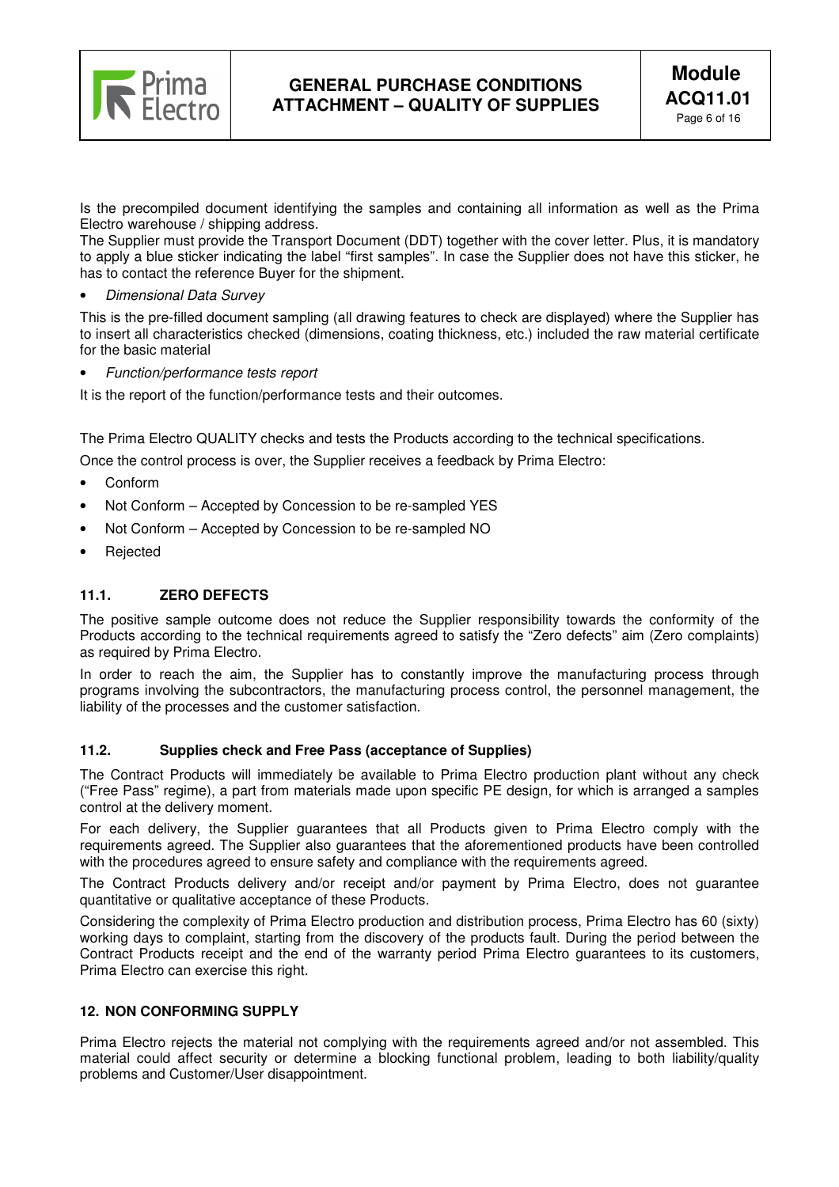

Is the precompiled document identifying the samples and containing all information as well as the Prima Electro warehouse / shipping address.

The Supplier must provide the Transport Document (DDT) together with the cover letter. Plus, it is mandatory to apply a blue sticker indicating the label "first samples". In case the Supplier does not have this sticker, he has to contact the reference Buyer for the shipment.

• Dimensional Data Survey

This is the pre-filled document sampling (all drawing features to check are displayed) where the Supplier has to insert all characteristics checked (dimensions, coating thickness, etc.) included the raw material certificate for the basic material

• Function/performance tests report

It is the report of the function/performance tests and their outcomes.

The Prima Electro QUALITY checks and tests the Products according to the technical specifications.

Once the control process is over, the Supplier receives a feedback by Prima Electro:

- Conform
- Not Conform Accepted by Concession to be re-sampled YES
- Not Conform Accepted by Concession to be re-sampled NO
- **Rejected**

# **11.1. ZERO DEFECTS**

The positive sample outcome does not reduce the Supplier responsibility towards the conformity of the Products according to the technical requirements agreed to satisfy the "Zero defects" aim (Zero complaints) as required by Prima Electro.

In order to reach the aim, the Supplier has to constantly improve the manufacturing process through programs involving the subcontractors, the manufacturing process control, the personnel management, the liability of the processes and the customer satisfaction.

### **11.2. Supplies check and Free Pass (acceptance of Supplies)**

The Contract Products will immediately be available to Prima Electro production plant without any check ("Free Pass" regime), a part from materials made upon specific PE design, for which is arranged a samples control at the delivery moment.

For each delivery, the Supplier guarantees that all Products given to Prima Electro comply with the requirements agreed. The Supplier also guarantees that the aforementioned products have been controlled with the procedures agreed to ensure safety and compliance with the requirements agreed.

The Contract Products delivery and/or receipt and/or payment by Prima Electro, does not guarantee quantitative or qualitative acceptance of these Products.

Considering the complexity of Prima Electro production and distribution process, Prima Electro has 60 (sixty) working days to complaint, starting from the discovery of the products fault. During the period between the Contract Products receipt and the end of the warranty period Prima Electro guarantees to its customers, Prima Electro can exercise this right.

# **12. NON CONFORMING SUPPLY**

Prima Electro rejects the material not complying with the requirements agreed and/or not assembled. This material could affect security or determine a blocking functional problem, leading to both liability/quality problems and Customer/User disappointment.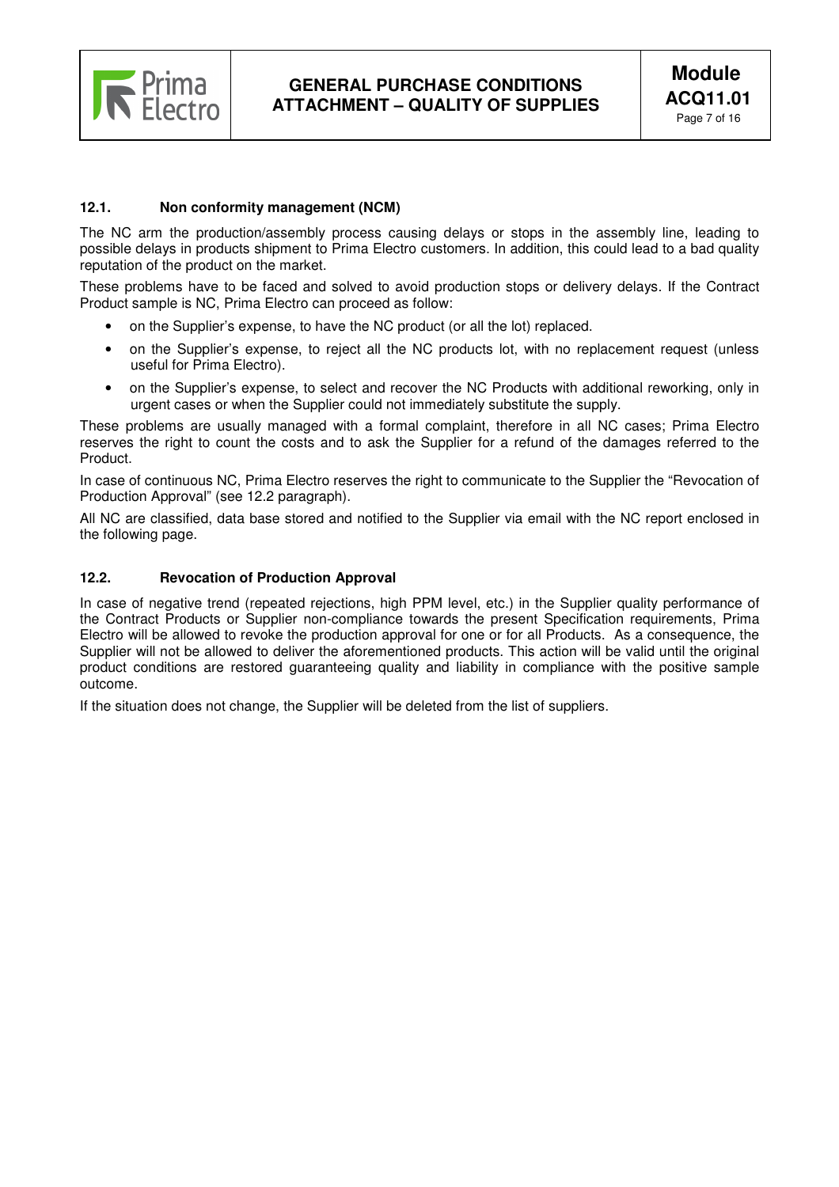

### **12.1. Non conformity management (NCM)**

The NC arm the production/assembly process causing delays or stops in the assembly line, leading to possible delays in products shipment to Prima Electro customers. In addition, this could lead to a bad quality reputation of the product on the market.

These problems have to be faced and solved to avoid production stops or delivery delays. If the Contract Product sample is NC, Prima Electro can proceed as follow:

- on the Supplier's expense, to have the NC product (or all the lot) replaced.
- on the Supplier's expense, to reject all the NC products lot, with no replacement request (unless useful for Prima Electro).
- on the Supplier's expense, to select and recover the NC Products with additional reworking, only in urgent cases or when the Supplier could not immediately substitute the supply.

These problems are usually managed with a formal complaint, therefore in all NC cases; Prima Electro reserves the right to count the costs and to ask the Supplier for a refund of the damages referred to the Product.

In case of continuous NC, Prima Electro reserves the right to communicate to the Supplier the "Revocation of Production Approval" (see 12.2 paragraph).

All NC are classified, data base stored and notified to the Supplier via email with the NC report enclosed in the following page.

# **12.2. Revocation of Production Approval**

In case of negative trend (repeated rejections, high PPM level, etc.) in the Supplier quality performance of the Contract Products or Supplier non-compliance towards the present Specification requirements, Prima Electro will be allowed to revoke the production approval for one or for all Products. As a consequence, the Supplier will not be allowed to deliver the aforementioned products. This action will be valid until the original product conditions are restored guaranteeing quality and liability in compliance with the positive sample outcome.

If the situation does not change, the Supplier will be deleted from the list of suppliers.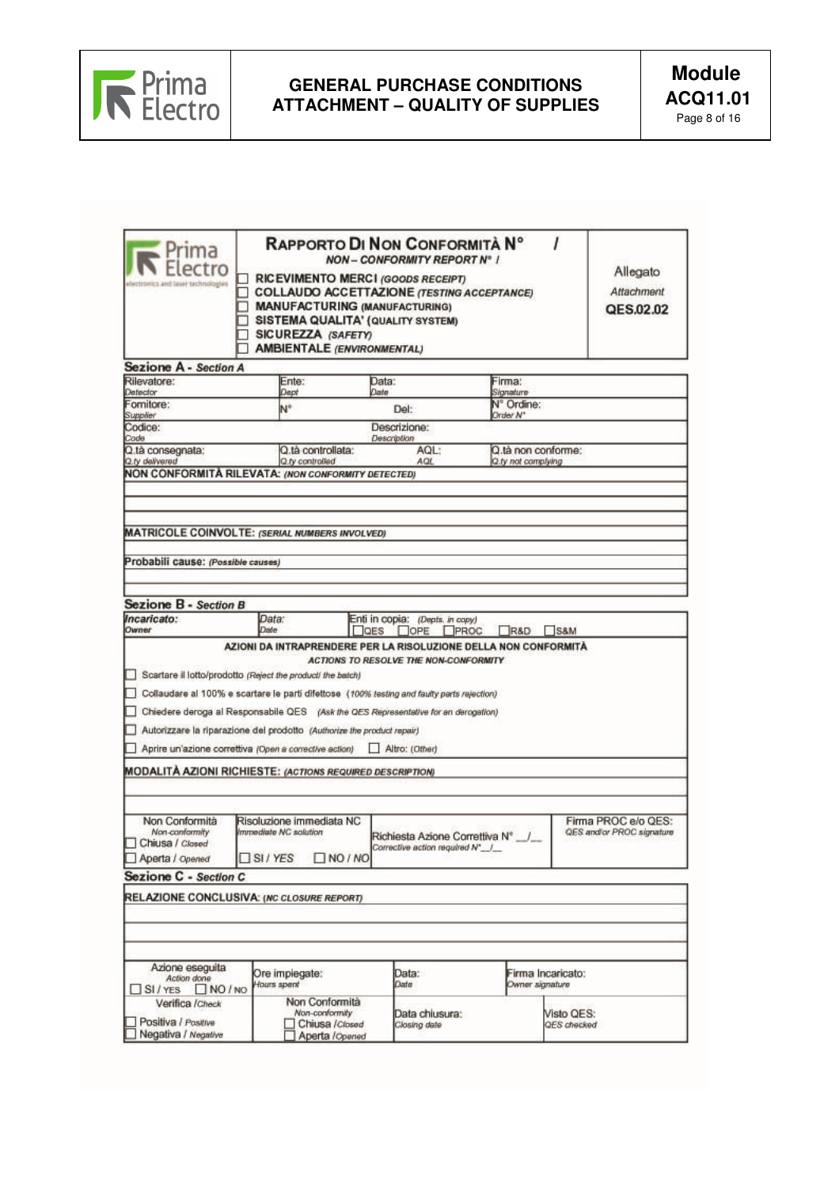

| rıma<br>and laser technol                                              | SICUREZZA (SAFETY)<br><b>AMBIENTALE (ENVIRONMENTAL)</b>                                                                                                                                                                                                                                                                                                                            | RAPPORTO DI NON CONFORMITÀ Nº<br><b>NON - CONFORMITY REPORT Nº 1</b><br>RICEVIMENTO MERCI (GOODS RECEIPT)<br><b>COLLAUDO ACCETTAZIONE (TESTING ACCEPTANCE)</b><br><b>MANUFACTURING (MANUFACTURING)</b><br>SISTEMA QUALITA' (QUALITY SYSTEM) |                        | Allegato<br>Attachment<br>QES.02.02              |
|------------------------------------------------------------------------|------------------------------------------------------------------------------------------------------------------------------------------------------------------------------------------------------------------------------------------------------------------------------------------------------------------------------------------------------------------------------------|---------------------------------------------------------------------------------------------------------------------------------------------------------------------------------------------------------------------------------------------|------------------------|--------------------------------------------------|
| Sezione A - Section A<br>Rilevatore:                                   | Ente:                                                                                                                                                                                                                                                                                                                                                                              | Data:                                                                                                                                                                                                                                       | Firma:                 |                                                  |
| Detector                                                               | Dept                                                                                                                                                                                                                                                                                                                                                                               | Date                                                                                                                                                                                                                                        | Signature              |                                                  |
| Fornitore:<br>Supplier                                                 | N°                                                                                                                                                                                                                                                                                                                                                                                 | Del:                                                                                                                                                                                                                                        | N° Ordine:<br>Order N" |                                                  |
| Codice:                                                                |                                                                                                                                                                                                                                                                                                                                                                                    | Descrizione:                                                                                                                                                                                                                                |                        |                                                  |
| Code<br>Q.tà consegnata;                                               | Q.tà controllata:                                                                                                                                                                                                                                                                                                                                                                  | <b>Description</b><br>AQL:                                                                                                                                                                                                                  | Q.tà non conforme:     |                                                  |
| Q.ty delivered                                                         | Q.ty controlled<br>NON CONFORMITÀ RILEVATA: (NON CONFORMITY DETECTED)                                                                                                                                                                                                                                                                                                              | AGL.                                                                                                                                                                                                                                        | Q.ty not complying     |                                                  |
| Probabili cause: (Possible causes)                                     |                                                                                                                                                                                                                                                                                                                                                                                    |                                                                                                                                                                                                                                             |                        |                                                  |
| Sezione B - Section B                                                  |                                                                                                                                                                                                                                                                                                                                                                                    |                                                                                                                                                                                                                                             |                        |                                                  |
| Incaricato:<br>Owner                                                   | Data:<br>Date                                                                                                                                                                                                                                                                                                                                                                      | Enti in copia: (Depts. in copy)<br>$\Box$ QES<br>I JOPE                                                                                                                                                                                     | PROC<br>R&D            | S&M                                              |
|                                                                        | Scartare il lotto/prodotto (Reject the product) the batch)<br>Collaudare al 100% e scartare le parti difettose (100% testing and faulty parts rejection)<br>Chiedere deroga al Responsabile QES (Ask the QES Representative for an derogation)<br>Autorizzare la riparazione del prodotto (Authorize the product repair)<br>Aprire un'azione correttiva (Open a corrective action) | Altro: (Other)                                                                                                                                                                                                                              |                        |                                                  |
| Non Conformità<br>Non-canformity<br>Chiusa / Closed<br>Aperta / Opened | <b>MODALITÀ AZIONI RICHIESTE: (ACTIONS REQUIRED DESCRIPTION)</b><br>Risoluzione immediata NC<br>Immediate NC solution<br>□ SI / YES □ NO / NO                                                                                                                                                                                                                                      | Richiesta Azione Correttiva Nº _/<br>Corrective action required N°_/_                                                                                                                                                                       |                        | Firma PROC e/o QES:<br>QES and/or PROC signature |
|                                                                        |                                                                                                                                                                                                                                                                                                                                                                                    |                                                                                                                                                                                                                                             |                        |                                                  |
| Sezione C - Section C                                                  |                                                                                                                                                                                                                                                                                                                                                                                    |                                                                                                                                                                                                                                             |                        |                                                  |
| Azione eseguita<br>Action done                                         | RELAZIONE CONCLUSIVA: (NC CLOSURE REPORT)<br>Ore impiegate:                                                                                                                                                                                                                                                                                                                        | Data:                                                                                                                                                                                                                                       | Firma Incaricato:      |                                                  |
| $N$ NO $N$<br>$\Box$ SI / YES<br>Verifica / Check                      | Hours spent<br>Non Conformità<br>Non-conformity                                                                                                                                                                                                                                                                                                                                    | Date<br>Data chiusura:                                                                                                                                                                                                                      | Owner signature        | Visto QES:                                       |
| Positiva / Positive<br>Negativa / Negative                             | Chiusa / Closed<br>Aperta <i>l</i> Opened                                                                                                                                                                                                                                                                                                                                          | Closing date                                                                                                                                                                                                                                |                        | QES checked                                      |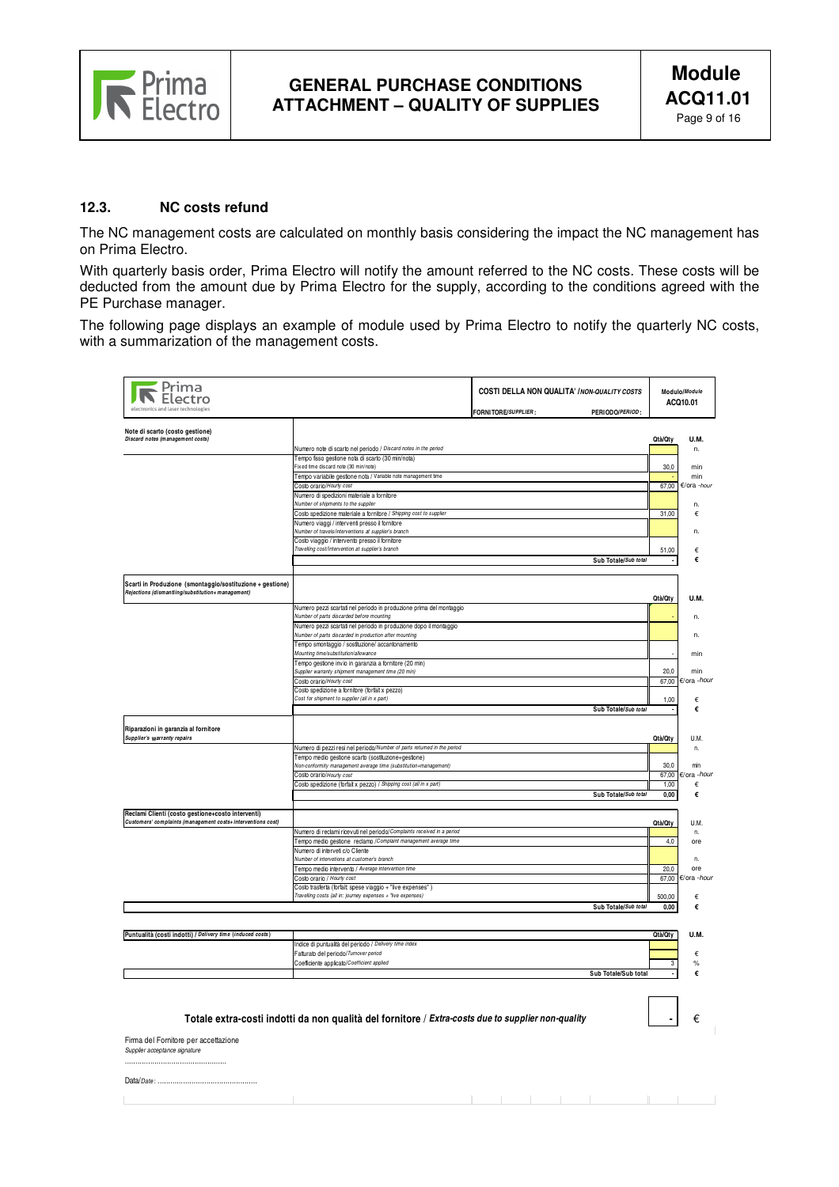

 **-** €

 $\mathbb T$ 

 $-1 - 1$ 

#### **12.3. NC costs refund**

The NC management costs are calculated on monthly basis considering the impact the NC management has on Prima Electro.

With quarterly basis order, Prima Electro will notify the amount referred to the NC costs. These costs will be deducted from the amount due by Prima Electro for the supply, according to the conditions agreed with the PE Purchase manager.

The following page displays an example of module used by Prima Electro to notify the quarterly NC costs, with a summarization of the management costs.

| electronics and laser technologies                                                                                |                                                                                                                             | COSTI DELLA NON QUALITA' / NON-QUALITY COSTS<br>FORNITORE/SUPPLIER:<br>PERIODO/PERIOD: |         | Modulo/Module<br>ACQ10.01 |
|-------------------------------------------------------------------------------------------------------------------|-----------------------------------------------------------------------------------------------------------------------------|----------------------------------------------------------------------------------------|---------|---------------------------|
| Note di scarto (costo gestione)                                                                                   |                                                                                                                             |                                                                                        |         |                           |
| Discard notes (management costs)                                                                                  |                                                                                                                             |                                                                                        | Qtà/Qty | U.M.                      |
|                                                                                                                   | Numero note di scarto nel periodo / Discard notes in the period<br>Tempo fisso gestione nota di scarto (30 min/nota)        |                                                                                        |         | n.                        |
|                                                                                                                   | Fix ed time discard note (30 min/note)                                                                                      |                                                                                        | 30,0    | min                       |
|                                                                                                                   | Tempo variabile gestione nota / Variable note management time                                                               |                                                                                        |         | min                       |
|                                                                                                                   | Costo orario/Hourly cost                                                                                                    |                                                                                        | 67,00   | €/ora -hour               |
|                                                                                                                   | Numero di spedizioni materiale a fornitore<br>Number of shipments to the supplier                                           |                                                                                        |         | n.                        |
|                                                                                                                   | Costo spedizione materiale a fornitore / Shipping cost to supplier                                                          |                                                                                        | 31,00   | €                         |
|                                                                                                                   | Numero viaggi / interventi presso il fornitore                                                                              |                                                                                        |         |                           |
|                                                                                                                   | Number of travels/interventions at supplier's branch<br>Costo viaggio / intervento presso il fornitore                      |                                                                                        |         | n.                        |
|                                                                                                                   | Travelling cost/Intervention at supplier's branch                                                                           |                                                                                        | 51,00   | €                         |
|                                                                                                                   |                                                                                                                             | Sub Totale/Sub total                                                                   |         | €                         |
|                                                                                                                   |                                                                                                                             |                                                                                        |         |                           |
| Scarti in Produzione (smontaggio/sostituzione + gestione)<br>Rejections (dismantling/substitution+ management)    |                                                                                                                             |                                                                                        | Qtà/Qty | U.M.                      |
|                                                                                                                   | Numero pezzi scartati nel periodo in produzione prima del montaggio                                                         |                                                                                        |         |                           |
|                                                                                                                   | Number of parts discarded before mounting                                                                                   |                                                                                        |         | n.                        |
|                                                                                                                   | Numero pezzi scartati nel periodo in produzione dopo il montaggio<br>Number of parts discarded in production after mounting |                                                                                        |         | n.                        |
|                                                                                                                   | Tempo smontaggio / sostituzione/ accantonamento                                                                             |                                                                                        |         |                           |
|                                                                                                                   | Mounting time/substitution/allowance                                                                                        |                                                                                        |         | min                       |
|                                                                                                                   | Tempo gesfone invio in garanzia a fornitore (20 min)<br>Supplier warranty shipment management time (20 min)                 |                                                                                        | 20.0    | min                       |
|                                                                                                                   | Costo orario/Hourly cost                                                                                                    |                                                                                        |         | 67,00 €/ora -hour         |
|                                                                                                                   | Costo spedizione a fornitore (forfait x pezzo)                                                                              |                                                                                        |         |                           |
|                                                                                                                   | Cost for shipment to supplier (all in x part)                                                                               |                                                                                        | 1,00    | €                         |
|                                                                                                                   |                                                                                                                             | Sub Totale/Sub total                                                                   |         | €                         |
| Riparazioni in garanzia al fornitore<br>Supplier's warranty repairs                                               |                                                                                                                             |                                                                                        | Qtà/Qty | U.M.                      |
|                                                                                                                   | Numero di pezzi resi nel periodo/Number of parts returned in the period                                                     |                                                                                        |         | n.                        |
|                                                                                                                   | Tempo medio gestione scarto (sostituzione+gestione)<br>Non-conformity management average time (substitution+management)     |                                                                                        | 30.0    | min                       |
|                                                                                                                   | Costo orario/Hourly cost                                                                                                    |                                                                                        | 67,00   | €/ora -hour               |
|                                                                                                                   | Costo spedizione (forfait x pezzo) / Shipping cost (all in x part)                                                          |                                                                                        | 1,00    | €                         |
|                                                                                                                   |                                                                                                                             | Sub Totale/Sub total                                                                   | 0.00    | €                         |
|                                                                                                                   |                                                                                                                             |                                                                                        |         |                           |
| Reclami Clienti (costo gestione+costo interventi)<br>Customers' complaints (management costs+ interventions cost) |                                                                                                                             |                                                                                        | Qtà/Qty | U.M.                      |
|                                                                                                                   | Numero di reclami ricevuti nel periodo/Complaints received in a period                                                      |                                                                                        |         | n.                        |
|                                                                                                                   | Tempo medio gestione reclamo / Complaint management average time                                                            |                                                                                        | 4,0     | ore                       |
|                                                                                                                   | Numero di interveti c/o Cliente                                                                                             |                                                                                        |         |                           |
|                                                                                                                   | Number of intervetions at customer's branch<br>Tempo medio intervento / Average intervention time                           |                                                                                        | 20,0    | n.<br>ore                 |
|                                                                                                                   | Costo orario / Hourly cost                                                                                                  |                                                                                        |         | 67,00 €/ora - hour        |
|                                                                                                                   | Costo trasferta (forfait: spese viaggio + "live expenses")                                                                  |                                                                                        |         |                           |
|                                                                                                                   | Travelling costs (all in: journey expenses + "live expenses)                                                                |                                                                                        | 500,00  | €                         |
|                                                                                                                   |                                                                                                                             | Sub Totale/Sub total                                                                   | 0.00    | €                         |
|                                                                                                                   |                                                                                                                             |                                                                                        |         |                           |
| Puntualità (costi indotti) / Delivery time (induced costs)                                                        |                                                                                                                             |                                                                                        | Qtà/Qty | U.M.                      |
|                                                                                                                   | Indice di puntualità del periodo / Delivery time index                                                                      |                                                                                        |         |                           |
|                                                                                                                   | Faturato del periodo/Tumover period                                                                                         |                                                                                        |         | €                         |
|                                                                                                                   | Coefficiente applicato/Coefficient applied                                                                                  |                                                                                        | 3       | $\%$                      |
|                                                                                                                   |                                                                                                                             | Sub Totale/Sub total                                                                   |         | €                         |
|                                                                                                                   |                                                                                                                             |                                                                                        |         |                           |

#### **Totale extra-costi indotti da non qualità del fornitore** / **Extra-costs due to supplier non-quality**

Firma del Fornitore per accettazione Supplier acceptance signature

................................................ Data/*Date*: ..........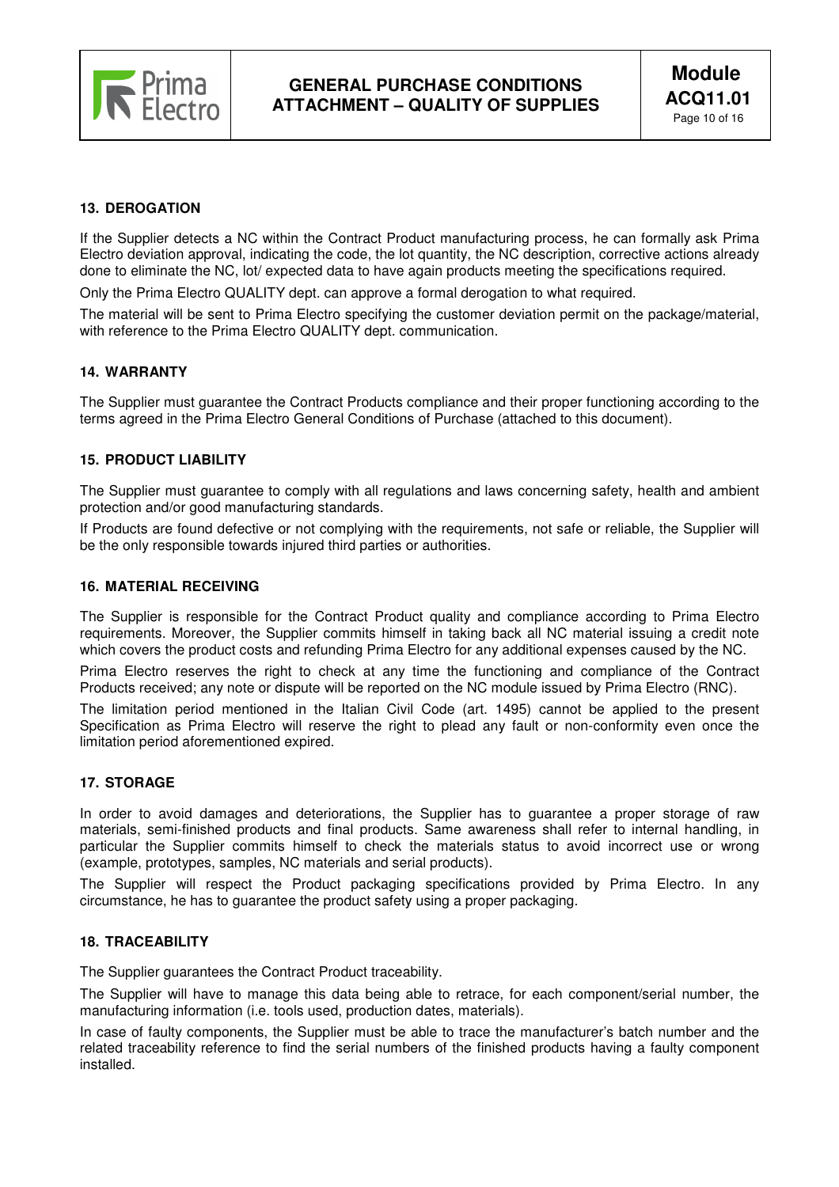

# **13. DEROGATION**

If the Supplier detects a NC within the Contract Product manufacturing process, he can formally ask Prima Electro deviation approval, indicating the code, the lot quantity, the NC description, corrective actions already done to eliminate the NC, lot/ expected data to have again products meeting the specifications required.

Only the Prima Electro QUALITY dept. can approve a formal derogation to what required.

The material will be sent to Prima Electro specifying the customer deviation permit on the package/material, with reference to the Prima Electro QUALITY dept. communication.

#### **14. WARRANTY**

The Supplier must guarantee the Contract Products compliance and their proper functioning according to the terms agreed in the Prima Electro General Conditions of Purchase (attached to this document).

### **15. PRODUCT LIABILITY**

The Supplier must guarantee to comply with all regulations and laws concerning safety, health and ambient protection and/or good manufacturing standards.

If Products are found defective or not complying with the requirements, not safe or reliable, the Supplier will be the only responsible towards injured third parties or authorities.

#### **16. MATERIAL RECEIVING**

The Supplier is responsible for the Contract Product quality and compliance according to Prima Electro requirements. Moreover, the Supplier commits himself in taking back all NC material issuing a credit note which covers the product costs and refunding Prima Electro for any additional expenses caused by the NC.

Prima Electro reserves the right to check at any time the functioning and compliance of the Contract Products received; any note or dispute will be reported on the NC module issued by Prima Electro (RNC).

The limitation period mentioned in the Italian Civil Code (art. 1495) cannot be applied to the present Specification as Prima Electro will reserve the right to plead any fault or non-conformity even once the limitation period aforementioned expired.

#### **17. STORAGE**

In order to avoid damages and deteriorations, the Supplier has to guarantee a proper storage of raw materials, semi-finished products and final products. Same awareness shall refer to internal handling, in particular the Supplier commits himself to check the materials status to avoid incorrect use or wrong (example, prototypes, samples, NC materials and serial products).

The Supplier will respect the Product packaging specifications provided by Prima Electro. In any circumstance, he has to guarantee the product safety using a proper packaging.

### **18. TRACEABILITY**

The Supplier guarantees the Contract Product traceability.

The Supplier will have to manage this data being able to retrace, for each component/serial number, the manufacturing information (i.e. tools used, production dates, materials).

In case of faulty components, the Supplier must be able to trace the manufacturer's batch number and the related traceability reference to find the serial numbers of the finished products having a faulty component installed.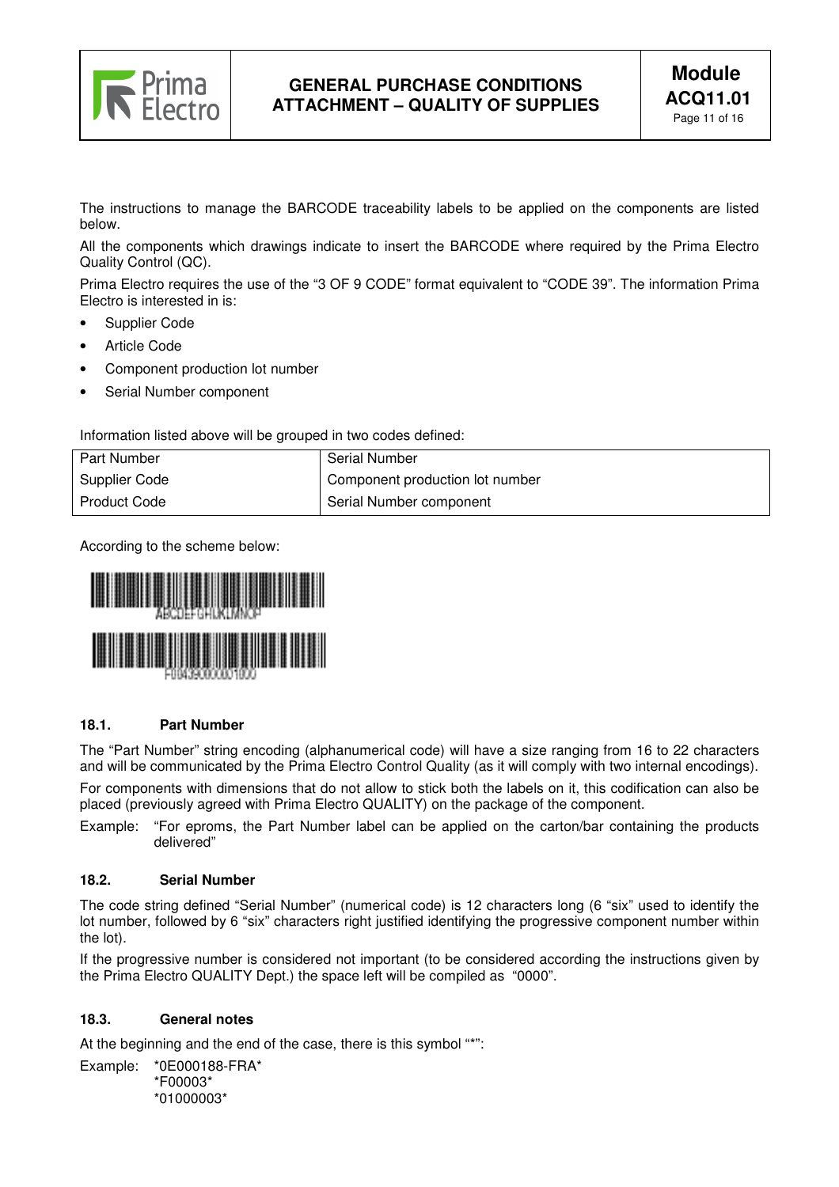

The instructions to manage the BARCODE traceability labels to be applied on the components are listed below.

All the components which drawings indicate to insert the BARCODE where required by the Prima Electro Quality Control (QC).

Prima Electro requires the use of the "3 OF 9 CODE" format equivalent to "CODE 39". The information Prima Electro is interested in is:

- Supplier Code
- **Article Code**
- Component production lot number
- Serial Number component

Information listed above will be grouped in two codes defined:

| <b>Part Number</b>  | <b>Serial Number</b>            |
|---------------------|---------------------------------|
| Supplier Code       | Component production lot number |
| <b>Product Code</b> | Serial Number component         |

According to the scheme below:



# **18.1. Part Number**

The "Part Number" string encoding (alphanumerical code) will have a size ranging from 16 to 22 characters and will be communicated by the Prima Electro Control Quality (as it will comply with two internal encodings). For components with dimensions that do not allow to stick both the labels on it, this codification can also be

placed (previously agreed with Prima Electro QUALITY) on the package of the component. Example: "For eproms, the Part Number label can be applied on the carton/bar containing the products

delivered"

# **18.2. Serial Number**

The code string defined "Serial Number" (numerical code) is 12 characters long (6 "six" used to identify the lot number, followed by 6 "six" characters right justified identifying the progressive component number within the lot).

If the progressive number is considered not important (to be considered according the instructions given by the Prima Electro QUALITY Dept.) the space left will be compiled as "0000".

# **18.3. General notes**

At the beginning and the end of the case, there is this symbol "\*":

Example: \*0E000188-FRA\* \*F00003\* \*01000003\*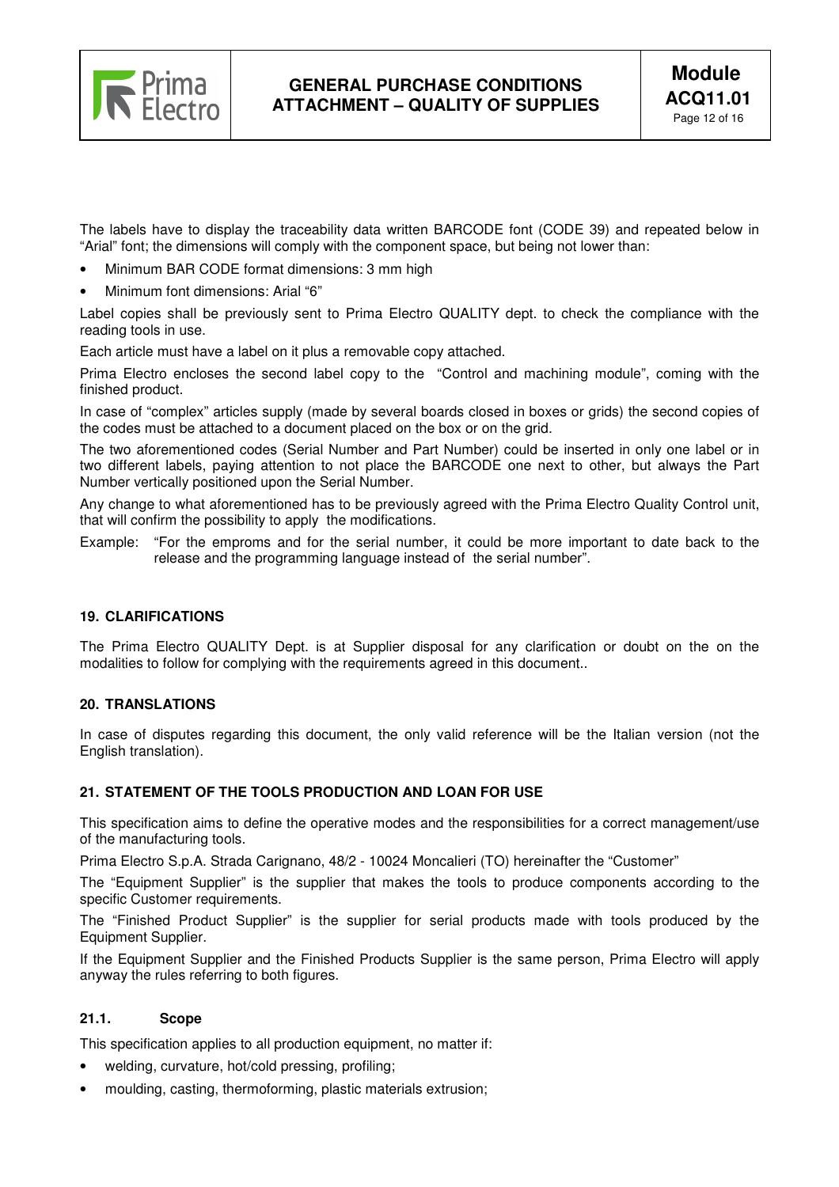

The labels have to display the traceability data written BARCODE font (CODE 39) and repeated below in "Arial" font; the dimensions will comply with the component space, but being not lower than:

- Minimum BAR CODE format dimensions: 3 mm high
- Minimum font dimensions: Arial "6"

Label copies shall be previously sent to Prima Electro QUALITY dept. to check the compliance with the reading tools in use.

Each article must have a label on it plus a removable copy attached.

Prima Electro encloses the second label copy to the "Control and machining module", coming with the finished product.

In case of "complex" articles supply (made by several boards closed in boxes or grids) the second copies of the codes must be attached to a document placed on the box or on the grid.

The two aforementioned codes (Serial Number and Part Number) could be inserted in only one label or in two different labels, paying attention to not place the BARCODE one next to other, but always the Part Number vertically positioned upon the Serial Number.

Any change to what aforementioned has to be previously agreed with the Prima Electro Quality Control unit, that will confirm the possibility to apply the modifications.

Example: "For the emproms and for the serial number, it could be more important to date back to the release and the programming language instead of the serial number".

# **19. CLARIFICATIONS**

The Prima Electro QUALITY Dept. is at Supplier disposal for any clarification or doubt on the on the modalities to follow for complying with the requirements agreed in this document..

#### **20. TRANSLATIONS**

In case of disputes regarding this document, the only valid reference will be the Italian version (not the English translation).

#### **21. STATEMENT OF THE TOOLS PRODUCTION AND LOAN FOR USE**

This specification aims to define the operative modes and the responsibilities for a correct management/use of the manufacturing tools.

Prima Electro S.p.A. Strada Carignano, 48/2 - 10024 Moncalieri (TO) hereinafter the "Customer"

The "Equipment Supplier" is the supplier that makes the tools to produce components according to the specific Customer requirements.

The "Finished Product Supplier" is the supplier for serial products made with tools produced by the Equipment Supplier.

If the Equipment Supplier and the Finished Products Supplier is the same person, Prima Electro will apply anyway the rules referring to both figures.

### **21.1. Scope**

This specification applies to all production equipment, no matter if:

- welding, curvature, hot/cold pressing, profiling;
- moulding, casting, thermoforming, plastic materials extrusion;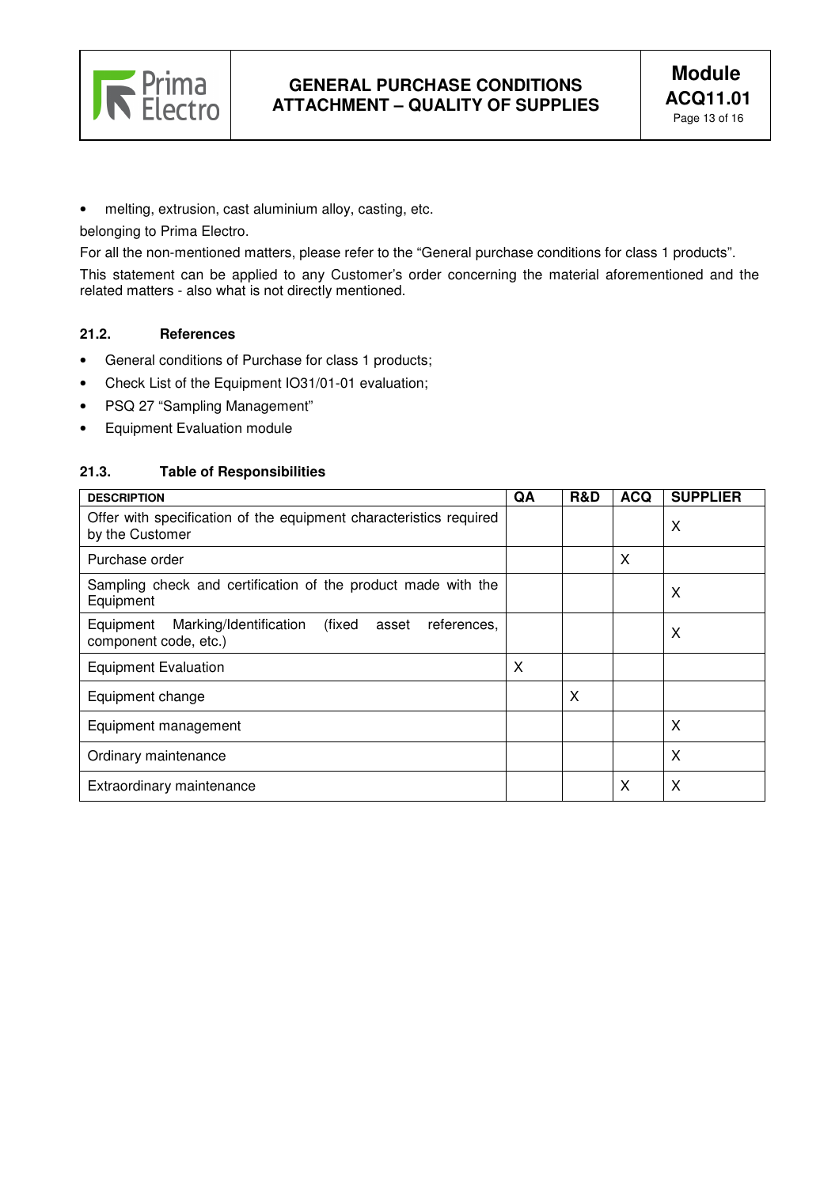

• melting, extrusion, cast aluminium alloy, casting, etc.

belonging to Prima Electro.

For all the non-mentioned matters, please refer to the "General purchase conditions for class 1 products".

This statement can be applied to any Customer's order concerning the material aforementioned and the related matters - also what is not directly mentioned.

# **21.2. References**

- General conditions of Purchase for class 1 products;
- Check List of the Equipment IO31/01-01 evaluation;
- PSQ 27 "Sampling Management"
- Equipment Evaluation module

### **21.3. Table of Responsibilities**

| <b>DESCRIPTION</b>                                                                             | QA | <b>R&amp;D</b> | <b>ACQ</b> | <b>SUPPLIER</b> |
|------------------------------------------------------------------------------------------------|----|----------------|------------|-----------------|
| Offer with specification of the equipment characteristics required<br>by the Customer          |    |                |            | Х               |
| Purchase order                                                                                 |    |                | X          |                 |
| Sampling check and certification of the product made with the<br>Equipment                     |    |                |            | X               |
| Marking/Identification<br>(fixed<br>Equipment<br>asset<br>references.<br>component code, etc.) |    |                |            | X               |
| <b>Equipment Evaluation</b>                                                                    | X  |                |            |                 |
| Equipment change                                                                               |    | X              |            |                 |
| Equipment management                                                                           |    |                |            | X               |
| Ordinary maintenance                                                                           |    |                |            | X               |
| Extraordinary maintenance                                                                      |    |                | X          | X               |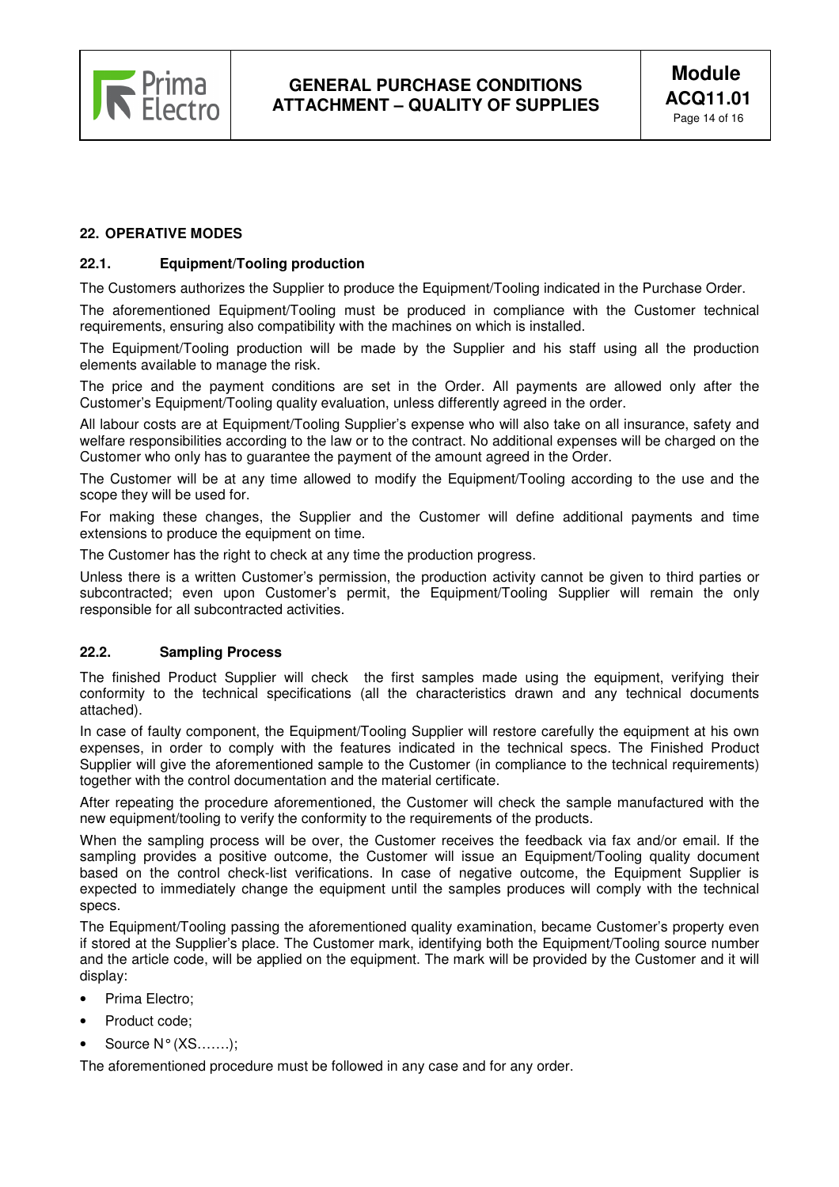

# **22. OPERATIVE MODES**

#### **22.1. Equipment/Tooling production**

The Customers authorizes the Supplier to produce the Equipment/Tooling indicated in the Purchase Order.

The aforementioned Equipment/Tooling must be produced in compliance with the Customer technical requirements, ensuring also compatibility with the machines on which is installed.

The Equipment/Tooling production will be made by the Supplier and his staff using all the production elements available to manage the risk.

The price and the payment conditions are set in the Order. All payments are allowed only after the Customer's Equipment/Tooling quality evaluation, unless differently agreed in the order.

All labour costs are at Equipment/Tooling Supplier's expense who will also take on all insurance, safety and welfare responsibilities according to the law or to the contract. No additional expenses will be charged on the Customer who only has to guarantee the payment of the amount agreed in the Order.

The Customer will be at any time allowed to modify the Equipment/Tooling according to the use and the scope they will be used for.

For making these changes, the Supplier and the Customer will define additional payments and time extensions to produce the equipment on time.

The Customer has the right to check at any time the production progress.

Unless there is a written Customer's permission, the production activity cannot be given to third parties or subcontracted; even upon Customer's permit, the Equipment/Tooling Supplier will remain the only responsible for all subcontracted activities.

#### **22.2. Sampling Process**

The finished Product Supplier will check the first samples made using the equipment, verifying their conformity to the technical specifications (all the characteristics drawn and any technical documents attached).

In case of faulty component, the Equipment/Tooling Supplier will restore carefully the equipment at his own expenses, in order to comply with the features indicated in the technical specs. The Finished Product Supplier will give the aforementioned sample to the Customer (in compliance to the technical requirements) together with the control documentation and the material certificate.

After repeating the procedure aforementioned, the Customer will check the sample manufactured with the new equipment/tooling to verify the conformity to the requirements of the products.

When the sampling process will be over, the Customer receives the feedback via fax and/or email. If the sampling provides a positive outcome, the Customer will issue an Equipment/Tooling quality document based on the control check-list verifications. In case of negative outcome, the Equipment Supplier is expected to immediately change the equipment until the samples produces will comply with the technical specs.

The Equipment/Tooling passing the aforementioned quality examination, became Customer's property even if stored at the Supplier's place. The Customer mark, identifying both the Equipment/Tooling source number and the article code, will be applied on the equipment. The mark will be provided by the Customer and it will display:

- Prima Electro:
- Product code:
- Source N° (XS…….);

The aforementioned procedure must be followed in any case and for any order.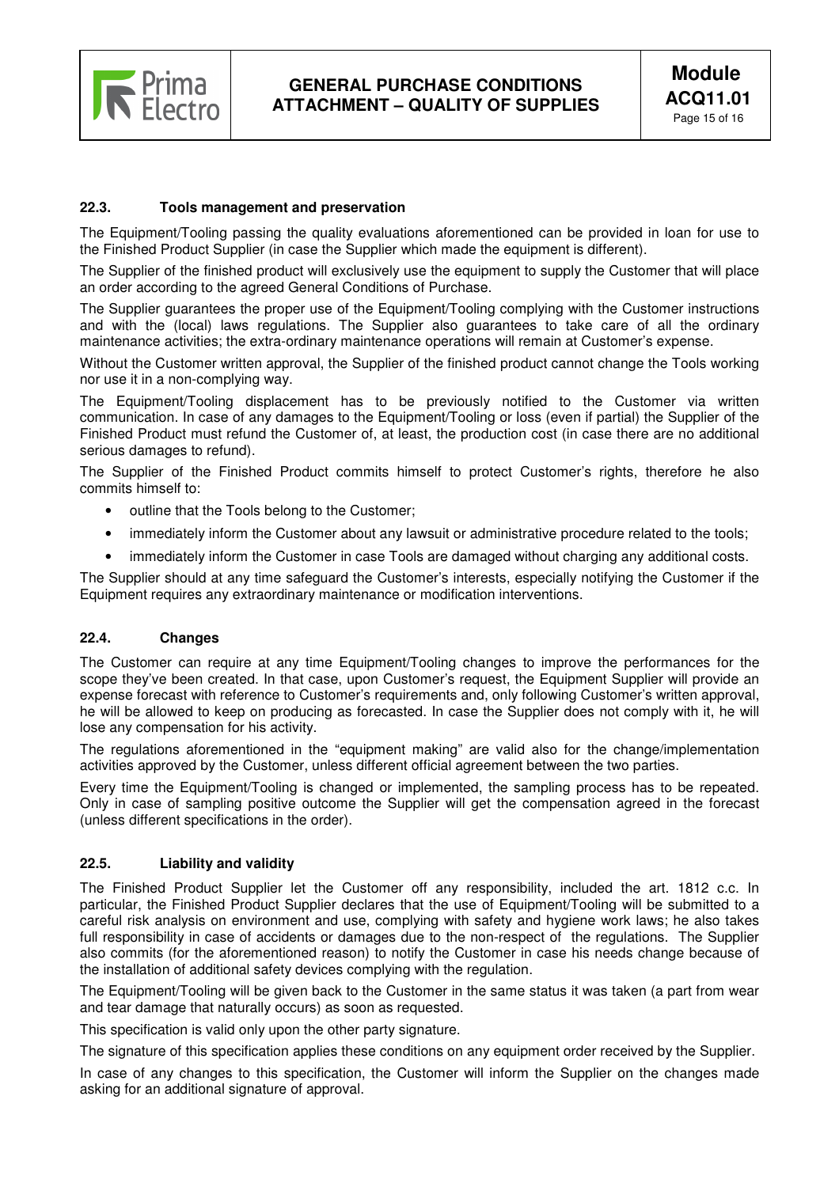

# **22.3. Tools management and preservation**

The Equipment/Tooling passing the quality evaluations aforementioned can be provided in loan for use to the Finished Product Supplier (in case the Supplier which made the equipment is different).

The Supplier of the finished product will exclusively use the equipment to supply the Customer that will place an order according to the agreed General Conditions of Purchase.

The Supplier guarantees the proper use of the Equipment/Tooling complying with the Customer instructions and with the (local) laws regulations. The Supplier also guarantees to take care of all the ordinary maintenance activities; the extra-ordinary maintenance operations will remain at Customer's expense.

Without the Customer written approval, the Supplier of the finished product cannot change the Tools working nor use it in a non-complying way.

The Equipment/Tooling displacement has to be previously notified to the Customer via written communication. In case of any damages to the Equipment/Tooling or loss (even if partial) the Supplier of the Finished Product must refund the Customer of, at least, the production cost (in case there are no additional serious damages to refund).

The Supplier of the Finished Product commits himself to protect Customer's rights, therefore he also commits himself to:

- outline that the Tools belong to the Customer;
- immediately inform the Customer about any lawsuit or administrative procedure related to the tools:
- immediately inform the Customer in case Tools are damaged without charging any additional costs.

The Supplier should at any time safeguard the Customer's interests, especially notifying the Customer if the Equipment requires any extraordinary maintenance or modification interventions.

#### **22.4. Changes**

The Customer can require at any time Equipment/Tooling changes to improve the performances for the scope they've been created. In that case, upon Customer's request, the Equipment Supplier will provide an expense forecast with reference to Customer's requirements and, only following Customer's written approval, he will be allowed to keep on producing as forecasted. In case the Supplier does not comply with it, he will lose any compensation for his activity.

The regulations aforementioned in the "equipment making" are valid also for the change/implementation activities approved by the Customer, unless different official agreement between the two parties.

Every time the Equipment/Tooling is changed or implemented, the sampling process has to be repeated. Only in case of sampling positive outcome the Supplier will get the compensation agreed in the forecast (unless different specifications in the order).

#### **22.5. Liability and validity**

The Finished Product Supplier let the Customer off any responsibility, included the art. 1812 c.c. In particular, the Finished Product Supplier declares that the use of Equipment/Tooling will be submitted to a careful risk analysis on environment and use, complying with safety and hygiene work laws; he also takes full responsibility in case of accidents or damages due to the non-respect of the regulations. The Supplier also commits (for the aforementioned reason) to notify the Customer in case his needs change because of the installation of additional safety devices complying with the regulation.

The Equipment/Tooling will be given back to the Customer in the same status it was taken (a part from wear and tear damage that naturally occurs) as soon as requested.

This specification is valid only upon the other party signature.

The signature of this specification applies these conditions on any equipment order received by the Supplier.

In case of any changes to this specification, the Customer will inform the Supplier on the changes made asking for an additional signature of approval.